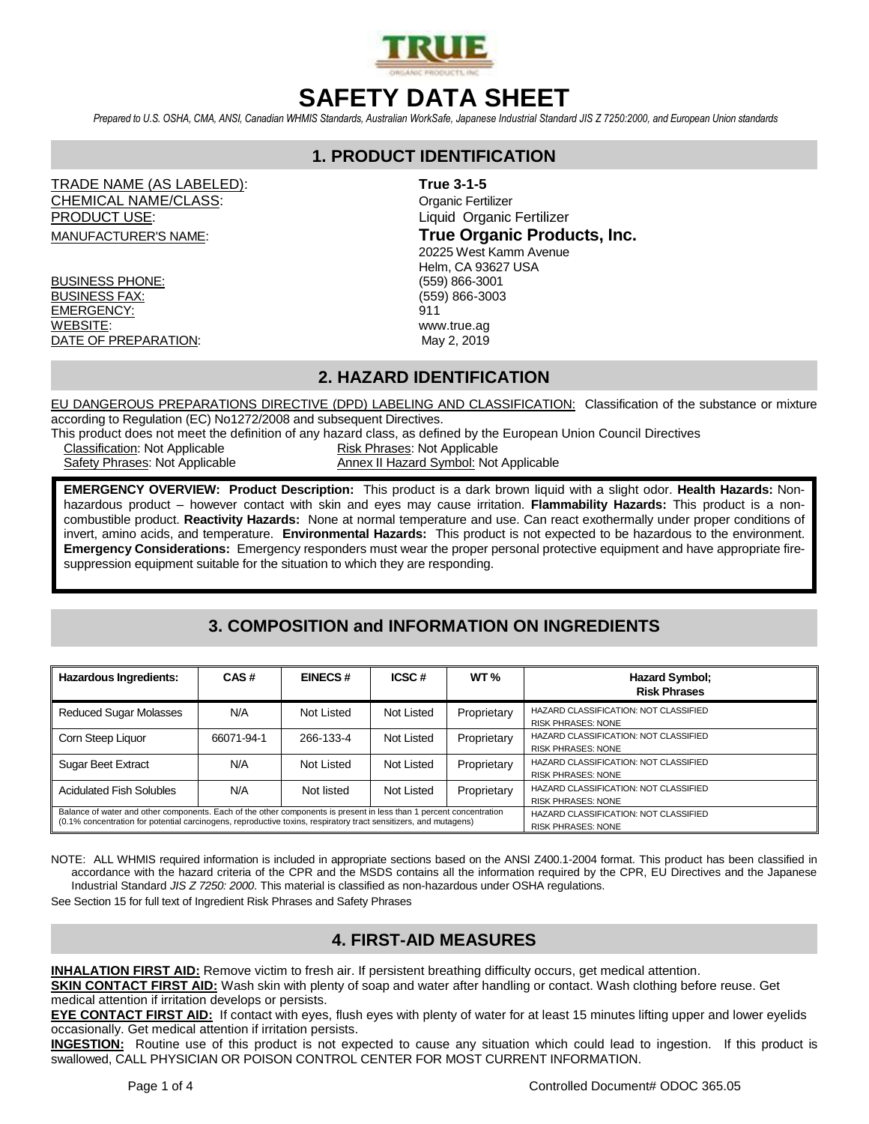

# **SAFETY DATA SHEET**

*Prepared to U.S. OSHA, CMA, ANSI, Canadian WHMIS Standards, Australian WorkSafe, Japanese Industrial Standard JIS Z 7250:2000, and European Union standards*

## **1. PRODUCT IDENTIFICATION**

TRADE NAME (AS LABELED): **True 3-1-5** CHEMICAL NAME/CLASS: CHEMICAL NAME/CLASS: PRODUCT USE: CONTROLL CONTROLL CONTROLL CONTROLL CONTROLL CONTROLL CONTROLL CONTROLL CONTROLL CONTROLL CONTROLL CONTROLL CONTROLL CONTROLL CONTROLL CONTROLL CONTROLL CONTROLL CONTROLL CONTROLL CONTROLL CONTROLL CONTROLL CO

BUSINESS PHONE: (559) 866-3001 BUSINESS FAX: (559) 866-3003 EMERGENCY: 911 WEBSITE: www.true.ag DATE OF PREPARATION: May 2, 2019

MANUFACTURER'S NAME: **True Organic Products, Inc.**

 20225 West Kamm Avenue Helm, CA 93627 USA

### **2. HAZARD IDENTIFICATION**

EU DANGEROUS PREPARATIONS DIRECTIVE (DPD) LABELING AND CLASSIFICATION: Classification of the substance or mixture according to Regulation (EC) No1272/2008 and subsequent Directives.

This product does not meet the definition of any hazard class, as defined by the European Union Council Directives

Classification: Not Applicable **Risk Phrases: Not Applicable** 

Safety Phrases: Not Applicable Annex II Hazard Symbol: Not Applicable

**EMERGENCY OVERVIEW: Product Description:** This product is a dark brown liquid with a slight odor. **Health Hazards:** Nonhazardous product – however contact with skin and eyes may cause irritation. **Flammability Hazards:** This product is a noncombustible product. **Reactivity Hazards:** None at normal temperature and use. Can react exothermally under proper conditions of invert, amino acids, and temperature. **Environmental Hazards:** This product is not expected to be hazardous to the environment. **Emergency Considerations:** Emergency responders must wear the proper personal protective equipment and have appropriate firesuppression equipment suitable for the situation to which they are responding.

# **3. COMPOSITION and INFORMATION ON INGREDIENTS**

| <b>Hazardous Ingredients:</b>                                                                                                                                                                                                           | CAS#       | <b>EINECS#</b>                                                     | ICSC#      | WT $\%$     | <b>Hazard Symbol:</b><br><b>Risk Phrases</b>                       |  |
|-----------------------------------------------------------------------------------------------------------------------------------------------------------------------------------------------------------------------------------------|------------|--------------------------------------------------------------------|------------|-------------|--------------------------------------------------------------------|--|
| <b>Reduced Sugar Molasses</b>                                                                                                                                                                                                           | N/A        | Not Listed                                                         | Not Listed | Proprietary | HAZARD CLASSIFICATION: NOT CLASSIFIED<br><b>RISK PHRASES: NONE</b> |  |
| Corn Steep Liquor                                                                                                                                                                                                                       | 66071-94-1 | 266-133-4                                                          | Not Listed | Proprietary | HAZARD CLASSIFICATION: NOT CLASSIFIED<br><b>RISK PHRASES: NONE</b> |  |
| Sugar Beet Extract                                                                                                                                                                                                                      | N/A        | Not Listed                                                         | Not Listed | Proprietary | HAZARD CLASSIFICATION: NOT CLASSIFIED<br><b>RISK PHRASES: NONE</b> |  |
| <b>Acidulated Fish Solubles</b>                                                                                                                                                                                                         | N/A        | Not listed                                                         | Not Listed | Proprietary | HAZARD CLASSIFICATION: NOT CLASSIFIED<br><b>RISK PHRASES: NONE</b> |  |
| Balance of water and other components. Each of the other components is present in less than 1 percent concentration<br>(0.1% concentration for potential carcinogens, reproductive toxins, respiratory tract sensitizers, and mutagens) |            | HAZARD CLASSIFICATION: NOT CLASSIFIED<br><b>RISK PHRASES: NONE</b> |            |             |                                                                    |  |

NOTE: ALL WHMIS required information is included in appropriate sections based on the ANSI Z400.1-2004 format. This product has been classified in accordance with the hazard criteria of the CPR and the MSDS contains all the information required by the CPR, EU Directives and the Japanese Industrial Standard *JIS Z 7250: 2000*. This material is classified as non-hazardous under OSHA regulations.

See Section 15 for full text of Ingredient Risk Phrases and Safety Phrases

## **4. FIRST-AID MEASURES**

**INHALATION FIRST AID:** Remove victim to fresh air. If persistent breathing difficulty occurs, get medical attention.

**SKIN CONTACT FIRST AID:** Wash skin with plenty of soap and water after handling or contact. Wash clothing before reuse. Get medical attention if irritation develops or persists.

**EYE CONTACT FIRST AID:** If contact with eyes, flush eyes with plenty of water for at least 15 minutes lifting upper and lower eyelids occasionally. Get medical attention if irritation persists.

**INGESTION:** Routine use of this product is not expected to cause any situation which could lead to ingestion. If this product is swallowed, CALL PHYSICIAN OR POISON CONTROL CENTER FOR MOST CURRENT INFORMATION.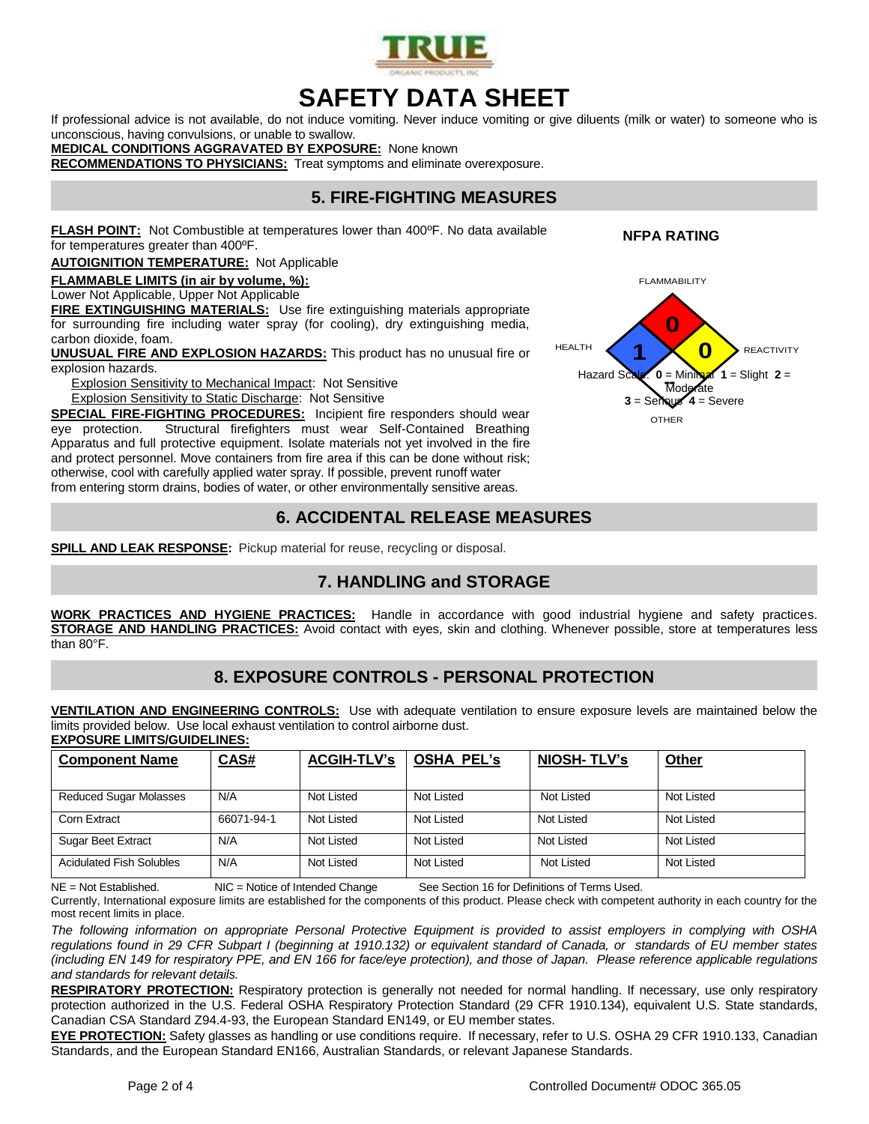

# **SAFETY DATA SHEET**

If professional advice is not available, do not induce vomiting. Never induce vomiting or give diluents (milk or water) to someone who is unconscious, having convulsions, or unable to swallow.

**MEDICAL CONDITIONS AGGRAVATED BY EXPOSURE:** None known

**RECOMMENDATIONS TO PHYSICIANS:** Treat symptoms and eliminate overexposure.

## **5. FIRE-FIGHTING MEASURES**

**FLASH POINT:** Not Combustible at temperatures lower than 400ºF. No data available for temperatures greater than 400ºF.

**AUTOIGNITION TEMPERATURE:** Not Applicable

**FLAMMABLE LIMITS (in air by volume, %):**

Lower Not Applicable, Upper Not Applicable

**FIRE EXTINGUISHING MATERIALS:** Use fire extinguishing materials appropriate for surrounding fire including water spray (for cooling), dry extinguishing media, carbon dioxide, foam.

**UNUSUAL FIRE AND EXPLOSION HAZARDS:** This product has no unusual fire or explosion hazards.

Explosion Sensitivity to Mechanical Impact: Not Sensitive

Explosion Sensitivity to Static Discharge: Not Sensitive

**SPECIAL FIRE-FIGHTING PROCEDURES:** Incipient fire responders should wear eye protection. Structural firefighters must wear Self-Contained Breathing Apparatus and full protective equipment. Isolate materials not yet involved in the fire and protect personnel. Move containers from fire area if this can be done without risk; otherwise, cool with carefully applied water spray. If possible, prevent runoff water from entering storm drains, bodies of water, or other environmentally sensitive areas.

#### **6. ACCIDENTAL RELEASE MEASURES**

**SPILL AND LEAK RESPONSE:** Pickup material for reuse, recycling or disposal.

### **7. HANDLING and STORAGE**

**WORK PRACTICES AND HYGIENE PRACTICES:** Handle in accordance with good industrial hygiene and safety practices. **STORAGE AND HANDLING PRACTICES:** Avoid contact with eyes, skin and clothing. Whenever possible, store at temperatures less than 80°F.

### **8. EXPOSURE CONTROLS - PERSONAL PROTECTION**

**VENTILATION AND ENGINEERING CONTROLS:** Use with adequate ventilation to ensure exposure levels are maintained below the limits provided below. Use local exhaust ventilation to control airborne dust. **EXPOSURE LIMITS/GUIDELINES:**

| <b>Component Name</b>           | CAS#       | <b>ACGIH-TLV's</b> | <b>OSHA PEL's</b> | <b>NIOSH-TLV's</b> | Other      |
|---------------------------------|------------|--------------------|-------------------|--------------------|------------|
| <b>Reduced Sugar Molasses</b>   | N/A        | Not Listed         | Not Listed        | Not Listed         | Not Listed |
| Corn Extract                    | 66071-94-1 | Not Listed         | Not Listed        | Not Listed         | Not Listed |
| <b>Sugar Beet Extract</b>       | N/A        | Not Listed         | Not Listed        | Not Listed         | Not Listed |
| <b>Acidulated Fish Solubles</b> | N/A        | Not Listed         | Not Listed        | Not Listed         | Not Listed |

NE = Not Established. NIC = Notice of Intended Change See Section 16 for Definitions of Terms Used.

Currently, International exposure limits are established for the components of this product. Please check with competent authority in each country for the most recent limits in place.

*The following information on appropriate Personal Protective Equipment is provided to assist employers in complying with OSHA regulations found in 29 CFR Subpart I (beginning at 1910.132) or equivalent standard of Canada, or standards of EU member states (including EN 149 for respiratory PPE, and EN 166 for face/eye protection), and those of Japan. Please reference applicable regulations and standards for relevant details.*

**RESPIRATORY PROTECTION:** Respiratory protection is generally not needed for normal handling. If necessary, use only respiratory protection authorized in the U.S. Federal OSHA Respiratory Protection Standard (29 CFR 1910.134), equivalent U.S. State standards, Canadian CSA Standard Z94.4-93, the European Standard EN149, or EU member states.

EYE PROTECTION: Safety glasses as handling or use conditions require. If necessary, refer to U.S. OSHA 29 CFR 1910.133, Canadian Standards, and the European Standard EN166, Australian Standards, or relevant Japanese Standards.



 **NFPA RATING**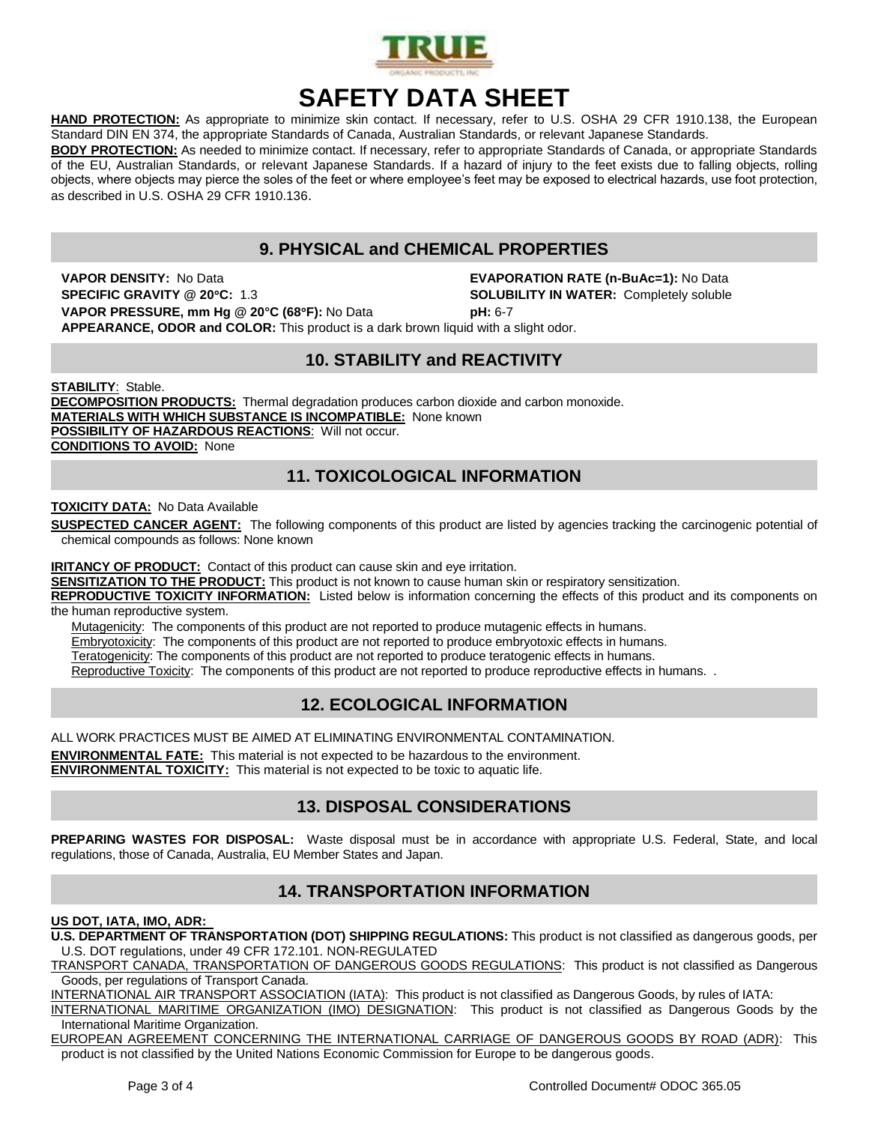

# **SAFETY DATA SHEET**

**HAND PROTECTION:** As appropriate to minimize skin contact. If necessary, refer to U.S. OSHA 29 CFR 1910.138, the European Standard DIN EN 374, the appropriate Standards of Canada, Australian Standards, or relevant Japanese Standards.

**BODY PROTECTION:** As needed to minimize contact. If necessary, refer to appropriate Standards of Canada, or appropriate Standards of the EU, Australian Standards, or relevant Japanese Standards. If a hazard of injury to the feet exists due to falling objects, rolling objects, where objects may pierce the soles of the feet or where employee's feet may be exposed to electrical hazards, use foot protection, as described in U.S. OSHA 29 CFR 1910.136.

## **9. PHYSICAL and CHEMICAL PROPERTIES**

**VAPOR DENSITY:** No Data **EVAPORATION RATE (n-BuAc=1):** No Data **SPECIFIC GRAVITY @ 20C:** 1.3 **SOLUBILITY IN WATER:** Completely soluble **VAPOR PRESSURE, mm Hg @ 20°C (68F):** No Data **pH:** 6-7

**APPEARANCE, ODOR and COLOR:** This product is a dark brown liquid with a slight odor.

### **10. STABILITY and REACTIVITY**

**STABILITY**: Stable. **DECOMPOSITION PRODUCTS:** Thermal degradation produces carbon dioxide and carbon monoxide. **MATERIALS WITH WHICH SUBSTANCE IS INCOMPATIBLE:** None known **POSSIBILITY OF HAZARDOUS REACTIONS**: Will not occur. **CONDITIONS TO AVOID:** None

### **11. TOXICOLOGICAL INFORMATION**

**TOXICITY DATA:** No Data Available

**SUSPECTED CANCER AGENT:** The following components of this product are listed by agencies tracking the carcinogenic potential of chemical compounds as follows: None known

**IRITANCY OF PRODUCT:** Contact of this product can cause skin and eye irritation.

**SENSITIZATION TO THE PRODUCT:** This product is not known to cause human skin or respiratory sensitization.

**REPRODUCTIVE TOXICITY INFORMATION:** Listed below is information concerning the effects of this product and its components on the human reproductive system.

Mutagenicity: The components of this product are not reported to produce mutagenic effects in humans.

Embryotoxicity: The components of this product are not reported to produce embryotoxic effects in humans.

Teratogenicity: The components of this product are not reported to produce teratogenic effects in humans.

Reproductive Toxicity: The components of this product are not reported to produce reproductive effects in humans. .

### **12. ECOLOGICAL INFORMATION**

ALL WORK PRACTICES MUST BE AIMED AT ELIMINATING ENVIRONMENTAL CONTAMINATION. **ENVIRONMENTAL FATE:** This material is not expected to be hazardous to the environment. **ENVIRONMENTAL TOXICITY:** This material is not expected to be toxic to aquatic life.

## **13. DISPOSAL CONSIDERATIONS**

**PREPARING WASTES FOR DISPOSAL:** Waste disposal must be in accordance with appropriate U.S. Federal, State, and local regulations, those of Canada, Australia, EU Member States and Japan.

### **14. TRANSPORTATION INFORMATION**

#### **US DOT, IATA, IMO, ADR:**

**U.S. DEPARTMENT OF TRANSPORTATION (DOT) SHIPPING REGULATIONS:** This product is not classified as dangerous goods, per U.S. DOT regulations, under 49 CFR 172.101. NON-REGULATED

TRANSPORT CANADA, TRANSPORTATION OF DANGEROUS GOODS REGULATIONS: This product is not classified as Dangerous Goods, per regulations of Transport Canada.

INTERNATIONAL AIR TRANSPORT ASSOCIATION (IATA): This product is not classified as Dangerous Goods, by rules of IATA:

INTERNATIONAL MARITIME ORGANIZATION (IMO) DESIGNATION: This product is not classified as Dangerous Goods by the International Maritime Organization.

EUROPEAN AGREEMENT CONCERNING THE INTERNATIONAL CARRIAGE OF DANGEROUS GOODS BY ROAD (ADR): This product is not classified by the United Nations Economic Commission for Europe to be dangerous goods.